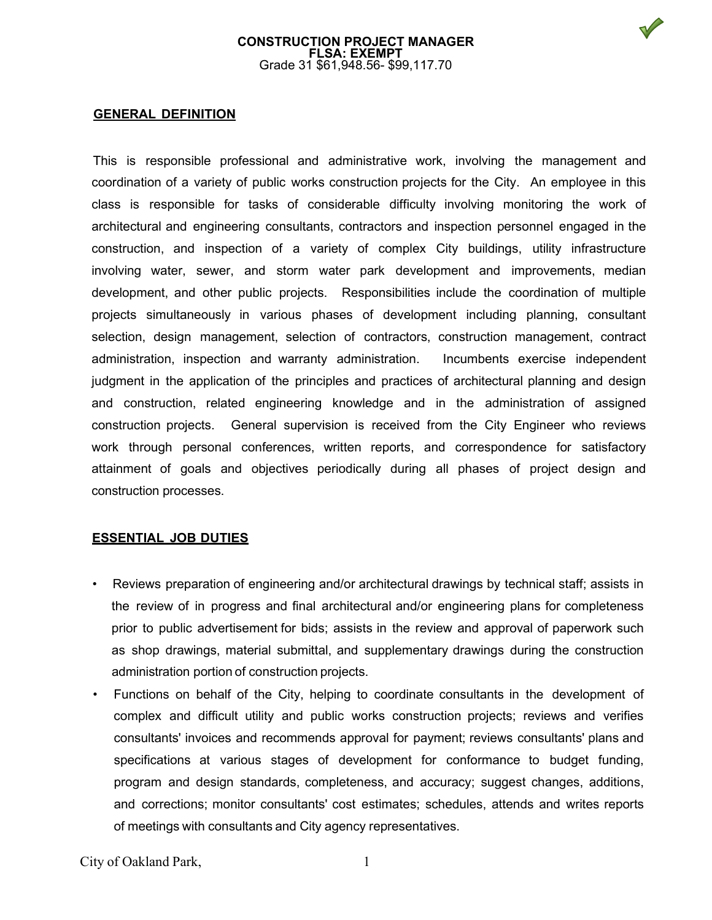

# **GENERAL DEFINITION**

This is responsible professional and administrative work, involving the management and coordination of a variety of public works construction projects for the City. An employee in this class is responsible for tasks of considerable difficulty involving monitoring the work of architectural and engineering consultants, contractors and inspection personnel engaged in the construction, and inspection of a variety of complex City buildings, utility infrastructure involving water, sewer, and storm water park development and improvements, median development, and other public projects. Responsibilities include the coordination of multiple projects simultaneously in various phases of development including planning, consultant selection, design management, selection of contractors, construction management, contract administration, inspection and warranty administration. Incumbents exercise independent judgment in the application of the principles and practices of architectural planning and design and construction, related engineering knowledge and in the administration of assigned construction projects. General supervision is received from the City Engineer who reviews work through personal conferences, written reports, and correspondence for satisfactory attainment of goals and objectives periodically during all phases of project design and construction processes.

### **ESSENTIAL JOB DUTIES**

- Reviews preparation of engineering and/or architectural drawings by technical staff; assists in the review of in progress and final architectural and/or engineering plans for completeness prior to public advertisement for bids; assists in the review and approval of paperwork such as shop drawings, material submittal, and supplementary drawings during the construction administration portion of construction projects.
- Functions on behalf of the City, helping to coordinate consultants in the development of complex and difficult utility and public works construction projects; reviews and verifies consultants' invoices and recommends approval for payment; reviews consultants' plans and specifications at various stages of development for conformance to budget funding, program and design standards, completeness, and accuracy; suggest changes, additions, and corrections; monitor consultants' cost estimates; schedules, attends and writes reports of meetings with consultants and City agency representatives.

City of Oakland Park, 1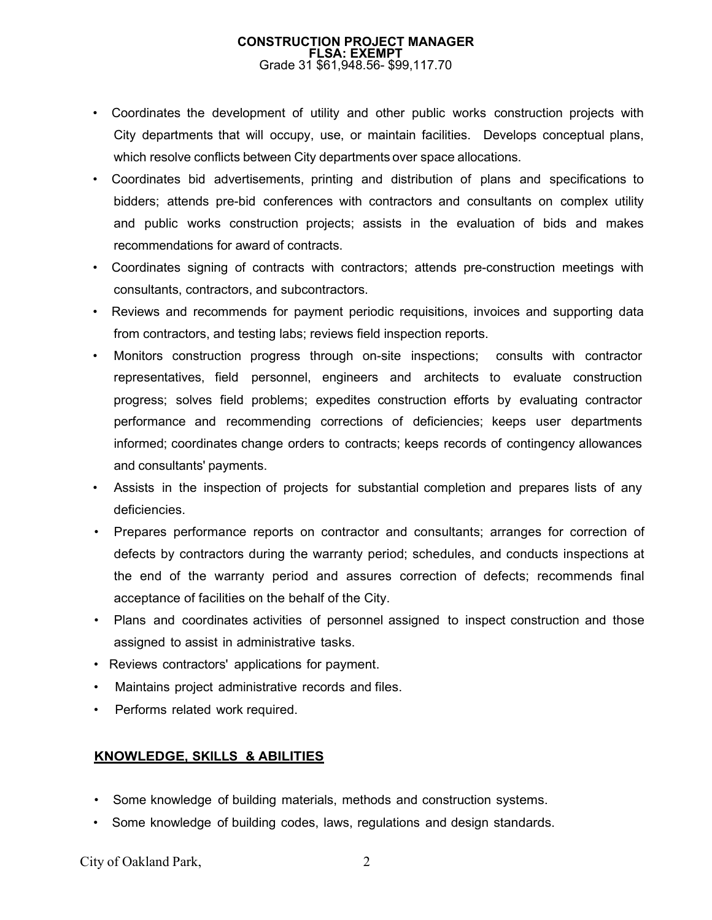- Coordinates the development of utility and other public works construction projects with City departments that will occupy, use, or maintain facilities. Develops conceptual plans, which resolve conflicts between City departments over space allocations.
- Coordinates bid advertisements, printing and distribution of plans and specifications to bidders; attends pre-bid conferences with contractors and consultants on complex utility and public works construction projects; assists in the evaluation of bids and makes recommendations for award of contracts.
- Coordinates signing of contracts with contractors; attends pre-construction meetings with consultants, contractors, and subcontractors.
- Reviews and recommends for payment periodic requisitions, invoices and supporting data from contractors, and testing labs; reviews field inspection reports.
- Monitors construction progress through on-site inspections; consults with contractor representatives, field personnel, engineers and architects to evaluate construction progress; solves field problems; expedites construction efforts by evaluating contractor performance and recommending corrections of deficiencies; keeps user departments informed; coordinates change orders to contracts; keeps records of contingency allowances and consultants' payments.
- Assists in the inspection of projects for substantial completion and prepares lists of any deficiencies.
- Prepares performance reports on contractor and consultants; arranges for correction of defects by contractors during the warranty period; schedules, and conducts inspections at the end of the warranty period and assures correction of defects; recommends final acceptance of facilities on the behalf of the City.
- Plans and coordinates activities of personnel assigned to inspect construction and those assigned to assist in administrative tasks.
- Reviews contractors' applications for payment.
- Maintains project administrative records and files.
- Performs related work required.

# **KNOWLEDGE, SKILLS & ABILITIES**

- Some knowledge of building materials, methods and construction systems.
- Some knowledge of building codes, laws, regulations and design standards.

City of Oakland Park, 2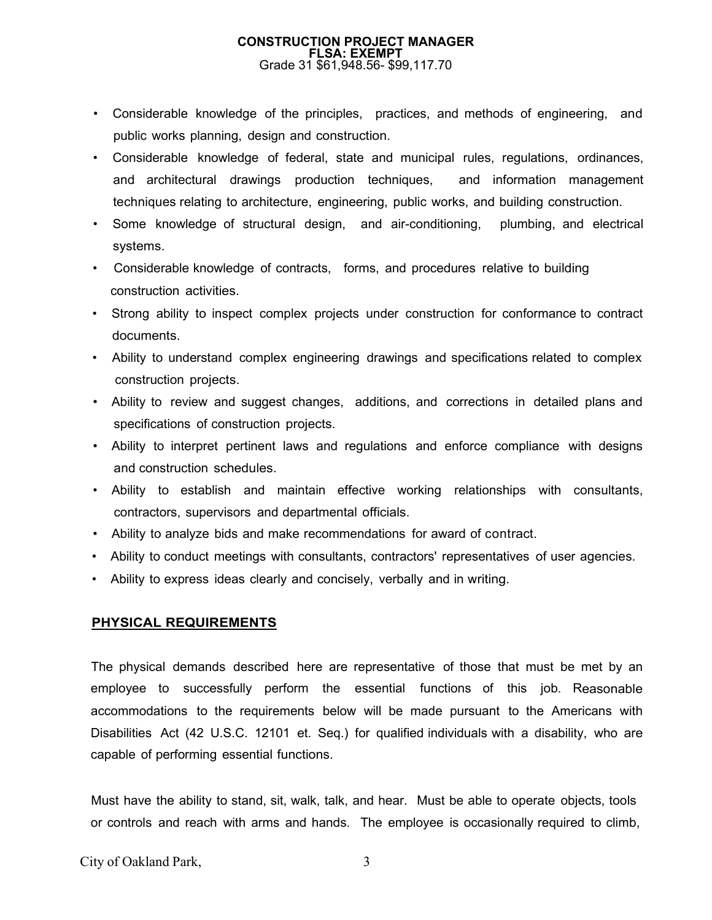- Considerable knowledge of the principles, practices, and methods of engineering, and public works planning, design and construction.
- Considerable knowledge of federal, state and municipal rules, regulations, ordinances, and architectural drawings production techniques, and information management techniques relating to architecture, engineering, public works, and building construction.
- Some knowledge of structural design, and air-conditioning, plumbing, and electrical systems.
- Considerable knowledge of contracts, forms, and procedures relative to building construction activities.
- Strong ability to inspect complex projects under construction for conformance to contract documents.
- Ability to understand complex engineering drawings and specifications related to complex construction projects.
- Ability to review and suggest changes, additions, and corrections in detailed plans and specifications of construction projects.
- Ability to interpret pertinent laws and regulations and enforce compliance with designs and construction schedules.
- Ability to establish and maintain effective working relationships with consultants, contractors, supervisors and departmental officials.
- Ability to analyze bids and make recommendations for award of contract.
- Ability to conduct meetings with consultants, contractors' representatives of user agencies.
- Ability to express ideas clearly and concisely, verbally and in writing.

# **PHYSICAL REQUIREMENTS**

The physical demands described here are representative of those that must be met by an employee to successfully perform the essential functions of this job. Reasonable accommodations to the requirements below will be made pursuant to the Americans with Disabilities Act (42 U.S.C. 12101 et. Seq.) for qualified individuals with a disability, who are capable of performing essential functions.

Must have the ability to stand, sit, walk, talk, and hear. Must be able to operate objects, tools or controls and reach with arms and hands. The employee is occasionally required to climb,

City of Oakland Park, 3